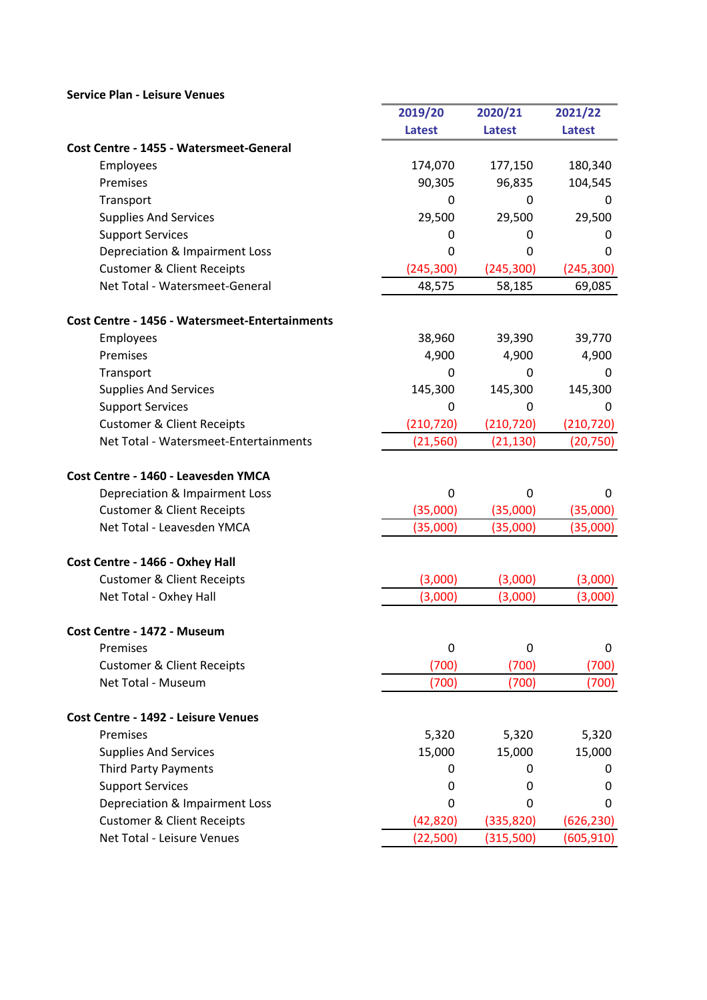## Service Plan - Leisure Venues

| 2019/20<br>2020/21<br>2021/22<br><b>Latest</b><br><b>Latest</b><br><b>Latest</b><br>Cost Centre - 1455 - Watersmeet-General<br>174,070<br>180,340<br>Employees<br>177,150<br>Premises<br>90,305<br>96,835<br>104,545<br>Transport<br>0<br>0<br>0<br>29,500<br>29,500<br><b>Supplies And Services</b><br>29,500<br><b>Support Services</b><br>0<br>0<br>0<br>Depreciation & Impairment Loss<br>0<br>0<br>0<br><b>Customer &amp; Client Receipts</b><br>(245, 300)<br>(245, 300)<br>(245, 300)<br>Net Total - Watersmeet-General<br>48,575<br>58,185<br>69,085<br><b>Cost Centre - 1456 - Watersmeet-Entertainments</b><br>Employees<br>39,770<br>38,960<br>39,390<br>Premises<br>4,900<br>4,900<br>4,900<br>Transport<br>0<br>0<br>0<br><b>Supplies And Services</b><br>145,300<br>145,300<br>145,300<br><b>Support Services</b><br>0<br>0<br>0<br>(210, 720)<br><b>Customer &amp; Client Receipts</b><br>(210, 720)<br>(210, 720)<br>Net Total - Watersmeet-Entertainments<br>(21, 560)<br>(21, 130)<br>(20, 750)<br>Cost Centre - 1460 - Leavesden YMCA<br>Depreciation & Impairment Loss<br>0<br>0<br>0<br><b>Customer &amp; Client Receipts</b><br>(35,000)<br>(35,000)<br>(35,000)<br>Net Total - Leavesden YMCA<br>(35,000)<br>(35,000)<br>(35,000)<br>Cost Centre - 1466 - Oxhey Hall<br><b>Customer &amp; Client Receipts</b><br>(3,000)<br>(3,000)<br>(3,000)<br>(3,000)<br>(3,000)<br>Net Total - Oxhey Hall<br>(3,000)<br>Cost Centre - 1472 - Museum<br>$\mathbf 0$<br>Premises<br>0<br>0<br><b>Customer &amp; Client Receipts</b><br>(700)<br>(700)<br>(700)<br>Net Total - Museum<br>(700)<br>(700)<br>(700) |
|---------------------------------------------------------------------------------------------------------------------------------------------------------------------------------------------------------------------------------------------------------------------------------------------------------------------------------------------------------------------------------------------------------------------------------------------------------------------------------------------------------------------------------------------------------------------------------------------------------------------------------------------------------------------------------------------------------------------------------------------------------------------------------------------------------------------------------------------------------------------------------------------------------------------------------------------------------------------------------------------------------------------------------------------------------------------------------------------------------------------------------------------------------------------------------------------------------------------------------------------------------------------------------------------------------------------------------------------------------------------------------------------------------------------------------------------------------------------------------------------------------------------------------------------------------------------------------------------------------------------------|
|                                                                                                                                                                                                                                                                                                                                                                                                                                                                                                                                                                                                                                                                                                                                                                                                                                                                                                                                                                                                                                                                                                                                                                                                                                                                                                                                                                                                                                                                                                                                                                                                                           |
|                                                                                                                                                                                                                                                                                                                                                                                                                                                                                                                                                                                                                                                                                                                                                                                                                                                                                                                                                                                                                                                                                                                                                                                                                                                                                                                                                                                                                                                                                                                                                                                                                           |
|                                                                                                                                                                                                                                                                                                                                                                                                                                                                                                                                                                                                                                                                                                                                                                                                                                                                                                                                                                                                                                                                                                                                                                                                                                                                                                                                                                                                                                                                                                                                                                                                                           |
|                                                                                                                                                                                                                                                                                                                                                                                                                                                                                                                                                                                                                                                                                                                                                                                                                                                                                                                                                                                                                                                                                                                                                                                                                                                                                                                                                                                                                                                                                                                                                                                                                           |
|                                                                                                                                                                                                                                                                                                                                                                                                                                                                                                                                                                                                                                                                                                                                                                                                                                                                                                                                                                                                                                                                                                                                                                                                                                                                                                                                                                                                                                                                                                                                                                                                                           |
|                                                                                                                                                                                                                                                                                                                                                                                                                                                                                                                                                                                                                                                                                                                                                                                                                                                                                                                                                                                                                                                                                                                                                                                                                                                                                                                                                                                                                                                                                                                                                                                                                           |
|                                                                                                                                                                                                                                                                                                                                                                                                                                                                                                                                                                                                                                                                                                                                                                                                                                                                                                                                                                                                                                                                                                                                                                                                                                                                                                                                                                                                                                                                                                                                                                                                                           |
|                                                                                                                                                                                                                                                                                                                                                                                                                                                                                                                                                                                                                                                                                                                                                                                                                                                                                                                                                                                                                                                                                                                                                                                                                                                                                                                                                                                                                                                                                                                                                                                                                           |
|                                                                                                                                                                                                                                                                                                                                                                                                                                                                                                                                                                                                                                                                                                                                                                                                                                                                                                                                                                                                                                                                                                                                                                                                                                                                                                                                                                                                                                                                                                                                                                                                                           |
|                                                                                                                                                                                                                                                                                                                                                                                                                                                                                                                                                                                                                                                                                                                                                                                                                                                                                                                                                                                                                                                                                                                                                                                                                                                                                                                                                                                                                                                                                                                                                                                                                           |
|                                                                                                                                                                                                                                                                                                                                                                                                                                                                                                                                                                                                                                                                                                                                                                                                                                                                                                                                                                                                                                                                                                                                                                                                                                                                                                                                                                                                                                                                                                                                                                                                                           |
|                                                                                                                                                                                                                                                                                                                                                                                                                                                                                                                                                                                                                                                                                                                                                                                                                                                                                                                                                                                                                                                                                                                                                                                                                                                                                                                                                                                                                                                                                                                                                                                                                           |
|                                                                                                                                                                                                                                                                                                                                                                                                                                                                                                                                                                                                                                                                                                                                                                                                                                                                                                                                                                                                                                                                                                                                                                                                                                                                                                                                                                                                                                                                                                                                                                                                                           |
|                                                                                                                                                                                                                                                                                                                                                                                                                                                                                                                                                                                                                                                                                                                                                                                                                                                                                                                                                                                                                                                                                                                                                                                                                                                                                                                                                                                                                                                                                                                                                                                                                           |
|                                                                                                                                                                                                                                                                                                                                                                                                                                                                                                                                                                                                                                                                                                                                                                                                                                                                                                                                                                                                                                                                                                                                                                                                                                                                                                                                                                                                                                                                                                                                                                                                                           |
|                                                                                                                                                                                                                                                                                                                                                                                                                                                                                                                                                                                                                                                                                                                                                                                                                                                                                                                                                                                                                                                                                                                                                                                                                                                                                                                                                                                                                                                                                                                                                                                                                           |
|                                                                                                                                                                                                                                                                                                                                                                                                                                                                                                                                                                                                                                                                                                                                                                                                                                                                                                                                                                                                                                                                                                                                                                                                                                                                                                                                                                                                                                                                                                                                                                                                                           |
|                                                                                                                                                                                                                                                                                                                                                                                                                                                                                                                                                                                                                                                                                                                                                                                                                                                                                                                                                                                                                                                                                                                                                                                                                                                                                                                                                                                                                                                                                                                                                                                                                           |
|                                                                                                                                                                                                                                                                                                                                                                                                                                                                                                                                                                                                                                                                                                                                                                                                                                                                                                                                                                                                                                                                                                                                                                                                                                                                                                                                                                                                                                                                                                                                                                                                                           |
|                                                                                                                                                                                                                                                                                                                                                                                                                                                                                                                                                                                                                                                                                                                                                                                                                                                                                                                                                                                                                                                                                                                                                                                                                                                                                                                                                                                                                                                                                                                                                                                                                           |
|                                                                                                                                                                                                                                                                                                                                                                                                                                                                                                                                                                                                                                                                                                                                                                                                                                                                                                                                                                                                                                                                                                                                                                                                                                                                                                                                                                                                                                                                                                                                                                                                                           |
|                                                                                                                                                                                                                                                                                                                                                                                                                                                                                                                                                                                                                                                                                                                                                                                                                                                                                                                                                                                                                                                                                                                                                                                                                                                                                                                                                                                                                                                                                                                                                                                                                           |
|                                                                                                                                                                                                                                                                                                                                                                                                                                                                                                                                                                                                                                                                                                                                                                                                                                                                                                                                                                                                                                                                                                                                                                                                                                                                                                                                                                                                                                                                                                                                                                                                                           |
|                                                                                                                                                                                                                                                                                                                                                                                                                                                                                                                                                                                                                                                                                                                                                                                                                                                                                                                                                                                                                                                                                                                                                                                                                                                                                                                                                                                                                                                                                                                                                                                                                           |
|                                                                                                                                                                                                                                                                                                                                                                                                                                                                                                                                                                                                                                                                                                                                                                                                                                                                                                                                                                                                                                                                                                                                                                                                                                                                                                                                                                                                                                                                                                                                                                                                                           |
|                                                                                                                                                                                                                                                                                                                                                                                                                                                                                                                                                                                                                                                                                                                                                                                                                                                                                                                                                                                                                                                                                                                                                                                                                                                                                                                                                                                                                                                                                                                                                                                                                           |
|                                                                                                                                                                                                                                                                                                                                                                                                                                                                                                                                                                                                                                                                                                                                                                                                                                                                                                                                                                                                                                                                                                                                                                                                                                                                                                                                                                                                                                                                                                                                                                                                                           |
|                                                                                                                                                                                                                                                                                                                                                                                                                                                                                                                                                                                                                                                                                                                                                                                                                                                                                                                                                                                                                                                                                                                                                                                                                                                                                                                                                                                                                                                                                                                                                                                                                           |
|                                                                                                                                                                                                                                                                                                                                                                                                                                                                                                                                                                                                                                                                                                                                                                                                                                                                                                                                                                                                                                                                                                                                                                                                                                                                                                                                                                                                                                                                                                                                                                                                                           |
|                                                                                                                                                                                                                                                                                                                                                                                                                                                                                                                                                                                                                                                                                                                                                                                                                                                                                                                                                                                                                                                                                                                                                                                                                                                                                                                                                                                                                                                                                                                                                                                                                           |
|                                                                                                                                                                                                                                                                                                                                                                                                                                                                                                                                                                                                                                                                                                                                                                                                                                                                                                                                                                                                                                                                                                                                                                                                                                                                                                                                                                                                                                                                                                                                                                                                                           |
| Cost Centre - 1492 - Leisure Venues                                                                                                                                                                                                                                                                                                                                                                                                                                                                                                                                                                                                                                                                                                                                                                                                                                                                                                                                                                                                                                                                                                                                                                                                                                                                                                                                                                                                                                                                                                                                                                                       |
| 5,320<br>5,320<br>5,320<br>Premises                                                                                                                                                                                                                                                                                                                                                                                                                                                                                                                                                                                                                                                                                                                                                                                                                                                                                                                                                                                                                                                                                                                                                                                                                                                                                                                                                                                                                                                                                                                                                                                       |
| 15,000<br>15,000<br><b>Supplies And Services</b><br>15,000                                                                                                                                                                                                                                                                                                                                                                                                                                                                                                                                                                                                                                                                                                                                                                                                                                                                                                                                                                                                                                                                                                                                                                                                                                                                                                                                                                                                                                                                                                                                                                |
| <b>Third Party Payments</b><br>0<br>0<br>0                                                                                                                                                                                                                                                                                                                                                                                                                                                                                                                                                                                                                                                                                                                                                                                                                                                                                                                                                                                                                                                                                                                                                                                                                                                                                                                                                                                                                                                                                                                                                                                |
| <b>Support Services</b><br>0<br>0<br>0                                                                                                                                                                                                                                                                                                                                                                                                                                                                                                                                                                                                                                                                                                                                                                                                                                                                                                                                                                                                                                                                                                                                                                                                                                                                                                                                                                                                                                                                                                                                                                                    |
| Depreciation & Impairment Loss<br>0<br>0<br>0                                                                                                                                                                                                                                                                                                                                                                                                                                                                                                                                                                                                                                                                                                                                                                                                                                                                                                                                                                                                                                                                                                                                                                                                                                                                                                                                                                                                                                                                                                                                                                             |
| <b>Customer &amp; Client Receipts</b><br>(42, 820)<br>(335, 820)<br>(626, 230)                                                                                                                                                                                                                                                                                                                                                                                                                                                                                                                                                                                                                                                                                                                                                                                                                                                                                                                                                                                                                                                                                                                                                                                                                                                                                                                                                                                                                                                                                                                                            |
| Net Total - Leisure Venues<br>(22, 500)<br>(315,500)<br>(605, 910)                                                                                                                                                                                                                                                                                                                                                                                                                                                                                                                                                                                                                                                                                                                                                                                                                                                                                                                                                                                                                                                                                                                                                                                                                                                                                                                                                                                                                                                                                                                                                        |